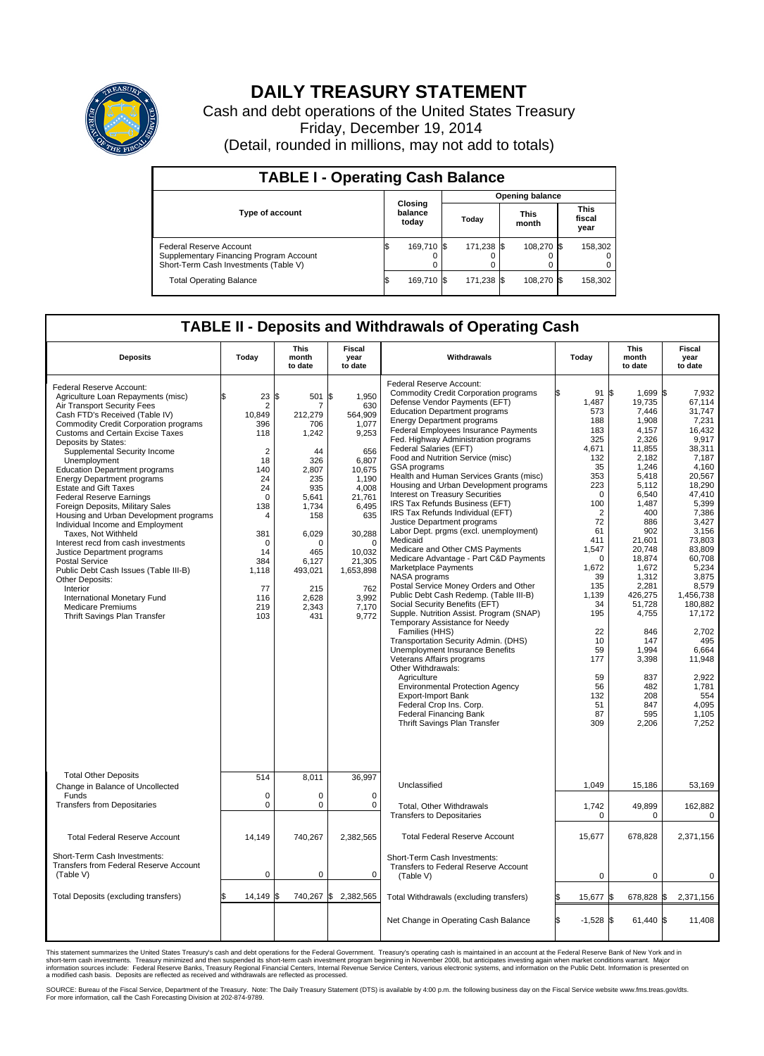

## **DAILY TREASURY STATEMENT**

Cash and debt operations of the United States Treasury Friday, December 19, 2014 (Detail, rounded in millions, may not add to totals)

| <b>TABLE I - Operating Cash Balance</b>                                                                     |  |                                                     |  |            |  |                               |  |         |  |  |
|-------------------------------------------------------------------------------------------------------------|--|-----------------------------------------------------|--|------------|--|-------------------------------|--|---------|--|--|
| <b>Opening balance</b>                                                                                      |  |                                                     |  |            |  |                               |  |         |  |  |
| <b>Type of account</b>                                                                                      |  | Closing<br>balance<br><b>This</b><br>Today<br>today |  | month      |  | <b>This</b><br>fiscal<br>year |  |         |  |  |
| Federal Reserve Account<br>Supplementary Financing Program Account<br>Short-Term Cash Investments (Table V) |  | 169.710 \$                                          |  | 171,238 \$ |  | 108.270 \$                    |  | 158,302 |  |  |
| <b>Total Operating Balance</b>                                                                              |  | 169,710 \$                                          |  | 171,238 \$ |  | 108,270 \$                    |  | 158,302 |  |  |

## **TABLE II - Deposits and Withdrawals of Operating Cash**

| <b>Deposits</b>                                                                                                                                                                                                                                                                                                                                                                                                                                                                                                                                                                                                                                                                                                                                                                                                                                       | Today                                                                                                                                                                                        | This<br>month<br>to date                                                                                                                                                           | Fiscal<br>year<br>to date                                                                                                                                                                                      | Withdrawals                                                                                                                                                                                                                                                                                                                                                                                                                                                                                                                                                                                                                                                                                                                                                                                                                                                                                                                                                                                                                                                                                                                                                                                                                                                                                                | Today                                                                                                                                                                                                                                                               | <b>This</b><br>month<br>to date                                                                                                                                                                                                                                                                                       | Fiscal<br>year<br>to date                                                                                                                                                                                                                                                                                                             |
|-------------------------------------------------------------------------------------------------------------------------------------------------------------------------------------------------------------------------------------------------------------------------------------------------------------------------------------------------------------------------------------------------------------------------------------------------------------------------------------------------------------------------------------------------------------------------------------------------------------------------------------------------------------------------------------------------------------------------------------------------------------------------------------------------------------------------------------------------------|----------------------------------------------------------------------------------------------------------------------------------------------------------------------------------------------|------------------------------------------------------------------------------------------------------------------------------------------------------------------------------------|----------------------------------------------------------------------------------------------------------------------------------------------------------------------------------------------------------------|------------------------------------------------------------------------------------------------------------------------------------------------------------------------------------------------------------------------------------------------------------------------------------------------------------------------------------------------------------------------------------------------------------------------------------------------------------------------------------------------------------------------------------------------------------------------------------------------------------------------------------------------------------------------------------------------------------------------------------------------------------------------------------------------------------------------------------------------------------------------------------------------------------------------------------------------------------------------------------------------------------------------------------------------------------------------------------------------------------------------------------------------------------------------------------------------------------------------------------------------------------------------------------------------------------|---------------------------------------------------------------------------------------------------------------------------------------------------------------------------------------------------------------------------------------------------------------------|-----------------------------------------------------------------------------------------------------------------------------------------------------------------------------------------------------------------------------------------------------------------------------------------------------------------------|---------------------------------------------------------------------------------------------------------------------------------------------------------------------------------------------------------------------------------------------------------------------------------------------------------------------------------------|
| Federal Reserve Account:<br>Agriculture Loan Repayments (misc)<br>Air Transport Security Fees<br>Cash FTD's Received (Table IV)<br>Commodity Credit Corporation programs<br><b>Customs and Certain Excise Taxes</b><br>Deposits by States:<br>Supplemental Security Income<br>Unemployment<br><b>Education Department programs</b><br><b>Energy Department programs</b><br><b>Estate and Gift Taxes</b><br><b>Federal Reserve Earnings</b><br>Foreign Deposits, Military Sales<br>Housing and Urban Development programs<br>Individual Income and Employment<br>Taxes, Not Withheld<br>Interest recd from cash investments<br>Justice Department programs<br><b>Postal Service</b><br>Public Debt Cash Issues (Table III-B)<br>Other Deposits:<br>Interior<br>International Monetary Fund<br><b>Medicare Premiums</b><br>Thrift Savings Plan Transfer | \$<br>23<br>2<br>10,849<br>396<br>118<br>$\overline{2}$<br>18<br>140<br>24<br>24<br>$\mathbf 0$<br>138<br>$\overline{4}$<br>381<br>$\Omega$<br>14<br>384<br>1,118<br>77<br>116<br>219<br>103 | l\$<br>501<br>212,279<br>706<br>1,242<br>44<br>326<br>2,807<br>235<br>935<br>5,641<br>1,734<br>158<br>6,029<br>$\Omega$<br>465<br>6,127<br>493,021<br>215<br>2,628<br>2,343<br>431 | \$<br>1,950<br>630<br>564,909<br>1.077<br>9,253<br>656<br>6,807<br>10,675<br>1.190<br>4,008<br>21,761<br>6,495<br>635<br>30,288<br>$\Omega$<br>10.032<br>21,305<br>1,653,898<br>762<br>3,992<br>7,170<br>9,772 | Federal Reserve Account:<br><b>Commodity Credit Corporation programs</b><br>Defense Vendor Payments (EFT)<br><b>Education Department programs</b><br><b>Energy Department programs</b><br><b>Federal Employees Insurance Payments</b><br>Fed. Highway Administration programs<br>Federal Salaries (EFT)<br>Food and Nutrition Service (misc)<br>GSA programs<br>Health and Human Services Grants (misc)<br>Housing and Urban Development programs<br>Interest on Treasury Securities<br>IRS Tax Refunds Business (EFT)<br>IRS Tax Refunds Individual (EFT)<br>Justice Department programs<br>Labor Dept. prgms (excl. unemployment)<br>Medicaid<br>Medicare and Other CMS Payments<br>Medicare Advantage - Part C&D Payments<br>Marketplace Payments<br>NASA programs<br>Postal Service Money Orders and Other<br>Public Debt Cash Redemp. (Table III-B)<br>Social Security Benefits (EFT)<br>Supple. Nutrition Assist. Program (SNAP)<br>Temporary Assistance for Needy<br>Families (HHS)<br>Transportation Security Admin. (DHS)<br>Unemployment Insurance Benefits<br>Veterans Affairs programs<br>Other Withdrawals:<br>Agriculture<br><b>Environmental Protection Agency</b><br><b>Export-Import Bank</b><br>Federal Crop Ins. Corp.<br><b>Federal Financing Bank</b><br>Thrift Savings Plan Transfer | 91<br>1,487<br>573<br>188<br>183<br>325<br>4.671<br>132<br>35<br>353<br>223<br>$\Omega$<br>100<br>$\overline{2}$<br>72<br>61<br>411<br>1,547<br>$\Omega$<br>1,672<br>39<br>135<br>1.139<br>34<br>195<br>22<br>10<br>59<br>177<br>59<br>56<br>132<br>51<br>87<br>309 | 1,699 \$<br>l\$<br>19,735<br>7.446<br>1,908<br>4,157<br>2,326<br>11,855<br>2,182<br>1,246<br>5,418<br>5,112<br>6,540<br>1,487<br>400<br>886<br>902<br>21,601<br>20,748<br>18.874<br>1,672<br>1,312<br>2,281<br>426,275<br>51,728<br>4,755<br>846<br>147<br>1,994<br>3,398<br>837<br>482<br>208<br>847<br>595<br>2,206 | 7,932<br>67,114<br>31.747<br>7,231<br>16.432<br>9,917<br>38.311<br>7,187<br>4,160<br>20,567<br>18,290<br>47,410<br>5,399<br>7,386<br>3,427<br>3,156<br>73,803<br>83,809<br>60.708<br>5,234<br>3,875<br>8,579<br>1.456.738<br>180.882<br>17,172<br>2,702<br>495<br>6,664<br>11,948<br>2,922<br>1,781<br>554<br>4.095<br>1,105<br>7,252 |
| <b>Total Other Deposits</b><br>Change in Balance of Uncollected                                                                                                                                                                                                                                                                                                                                                                                                                                                                                                                                                                                                                                                                                                                                                                                       | 514                                                                                                                                                                                          | 8.011                                                                                                                                                                              | 36,997                                                                                                                                                                                                         | Unclassified                                                                                                                                                                                                                                                                                                                                                                                                                                                                                                                                                                                                                                                                                                                                                                                                                                                                                                                                                                                                                                                                                                                                                                                                                                                                                               | 1,049                                                                                                                                                                                                                                                               | 15,186                                                                                                                                                                                                                                                                                                                | 53,169                                                                                                                                                                                                                                                                                                                                |
| Funds<br><b>Transfers from Depositaries</b>                                                                                                                                                                                                                                                                                                                                                                                                                                                                                                                                                                                                                                                                                                                                                                                                           | $\mathbf 0$<br>$\pmb{0}$                                                                                                                                                                     | 0<br>0                                                                                                                                                                             | 0<br>$\mathbf 0$                                                                                                                                                                                               | Total, Other Withdrawals<br><b>Transfers to Depositaries</b>                                                                                                                                                                                                                                                                                                                                                                                                                                                                                                                                                                                                                                                                                                                                                                                                                                                                                                                                                                                                                                                                                                                                                                                                                                               | 1,742<br>$\mathbf 0$                                                                                                                                                                                                                                                | 49,899<br>$\mathbf 0$                                                                                                                                                                                                                                                                                                 | 162,882<br>$\mathbf 0$                                                                                                                                                                                                                                                                                                                |
| <b>Total Federal Reserve Account</b>                                                                                                                                                                                                                                                                                                                                                                                                                                                                                                                                                                                                                                                                                                                                                                                                                  | 14,149                                                                                                                                                                                       | 740,267                                                                                                                                                                            | 2,382,565                                                                                                                                                                                                      | <b>Total Federal Reserve Account</b>                                                                                                                                                                                                                                                                                                                                                                                                                                                                                                                                                                                                                                                                                                                                                                                                                                                                                                                                                                                                                                                                                                                                                                                                                                                                       | 15,677                                                                                                                                                                                                                                                              | 678,828                                                                                                                                                                                                                                                                                                               | 2,371,156                                                                                                                                                                                                                                                                                                                             |
| Short-Term Cash Investments:<br>Transfers from Federal Reserve Account<br>(Table V)                                                                                                                                                                                                                                                                                                                                                                                                                                                                                                                                                                                                                                                                                                                                                                   | $\mathbf 0$                                                                                                                                                                                  | 0                                                                                                                                                                                  | $\Omega$                                                                                                                                                                                                       | Short-Term Cash Investments:<br>Transfers to Federal Reserve Account<br>(Table V)                                                                                                                                                                                                                                                                                                                                                                                                                                                                                                                                                                                                                                                                                                                                                                                                                                                                                                                                                                                                                                                                                                                                                                                                                          | 0                                                                                                                                                                                                                                                                   | $\Omega$                                                                                                                                                                                                                                                                                                              | $\Omega$                                                                                                                                                                                                                                                                                                                              |
| Total Deposits (excluding transfers)                                                                                                                                                                                                                                                                                                                                                                                                                                                                                                                                                                                                                                                                                                                                                                                                                  | 14.149                                                                                                                                                                                       | \$                                                                                                                                                                                 | 740,267 \$2,382,565                                                                                                                                                                                            | Total Withdrawals (excluding transfers)                                                                                                                                                                                                                                                                                                                                                                                                                                                                                                                                                                                                                                                                                                                                                                                                                                                                                                                                                                                                                                                                                                                                                                                                                                                                    | l\$<br>15,677 \$                                                                                                                                                                                                                                                    | 678,828 \$                                                                                                                                                                                                                                                                                                            | 2,371,156                                                                                                                                                                                                                                                                                                                             |
|                                                                                                                                                                                                                                                                                                                                                                                                                                                                                                                                                                                                                                                                                                                                                                                                                                                       |                                                                                                                                                                                              |                                                                                                                                                                                    |                                                                                                                                                                                                                | Net Change in Operating Cash Balance                                                                                                                                                                                                                                                                                                                                                                                                                                                                                                                                                                                                                                                                                                                                                                                                                                                                                                                                                                                                                                                                                                                                                                                                                                                                       | Ŝ.<br>$-1.528$ $\sqrt{5}$                                                                                                                                                                                                                                           | $61,440$ \$                                                                                                                                                                                                                                                                                                           | 11,408                                                                                                                                                                                                                                                                                                                                |

This statement summarizes the United States Treasury's cash and debt operations for the Federal Government. Treasury's operating cash is maintained in an account at the Federal Reserve Bank of New York and in<br>short-term ca

SOURCE: Bureau of the Fiscal Service, Department of the Treasury. Note: The Daily Treasury Statement (DTS) is available by 4:00 p.m. the following business day on the Fiscal Service website www.fms.treas.gov/dts.<br>For more